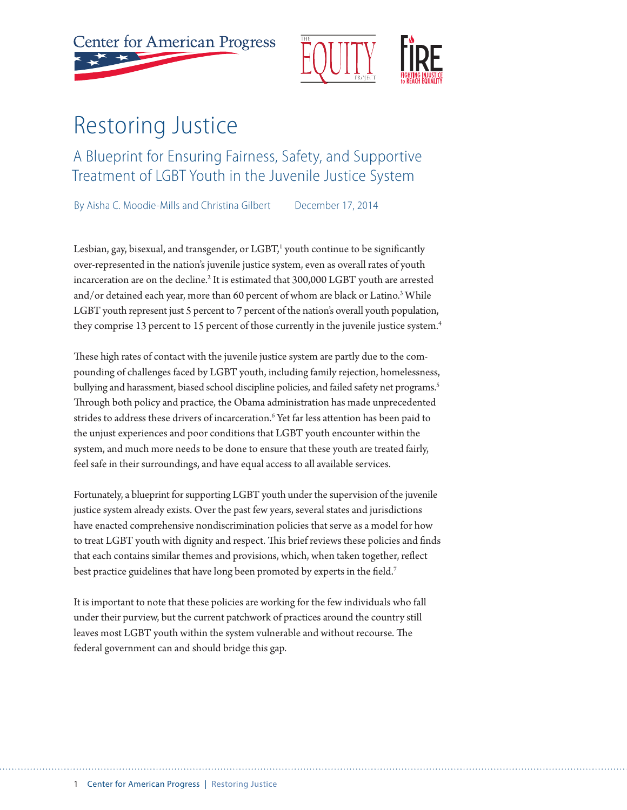



# Restoring Justice

A Blueprint for Ensuring Fairness, Safety, and Supportive Treatment of LGBT Youth in the Juvenile Justice System

By Aisha C. Moodie-Mills and Christina Gilbert December 17, 2014

Lesbian, gay, bisexual, and transgender, or LGBT,<sup>1</sup> youth continue to be significantly over-represented in the nation's juvenile justice system, even as overall rates of youth incarceration are on the decline.<sup>2</sup> It is estimated that 300,000 LGBT youth are arrested and/or detained each year, more than 60 percent of whom are black or Latino.<sup>3</sup> While LGBT youth represent just 5 percent to 7 percent of the nation's overall youth population, they comprise 13 percent to 15 percent of those currently in the juvenile justice system.<sup>4</sup>

These high rates of contact with the juvenile justice system are partly due to the compounding of challenges faced by LGBT youth, including family rejection, homelessness, bullying and harassment, biased school discipline policies, and failed safety net programs.<sup>5</sup> Through both policy and practice, the Obama administration has made unprecedented strides to address these drivers of incarceration.6 Yet far less attention has been paid to the unjust experiences and poor conditions that LGBT youth encounter within the system, and much more needs to be done to ensure that these youth are treated fairly, feel safe in their surroundings, and have equal access to all available services.

Fortunately, a blueprint for supporting LGBT youth under the supervision of the juvenile justice system already exists. Over the past few years, several states and jurisdictions have enacted comprehensive nondiscrimination policies that serve as a model for how to treat LGBT youth with dignity and respect. This brief reviews these policies and finds that each contains similar themes and provisions, which, when taken together, reflect best practice guidelines that have long been promoted by experts in the field.<sup>7</sup>

It is important to note that these policies are working for the few individuals who fall under their purview, but the current patchwork of practices around the country still leaves most LGBT youth within the system vulnerable and without recourse. The federal government can and should bridge this gap.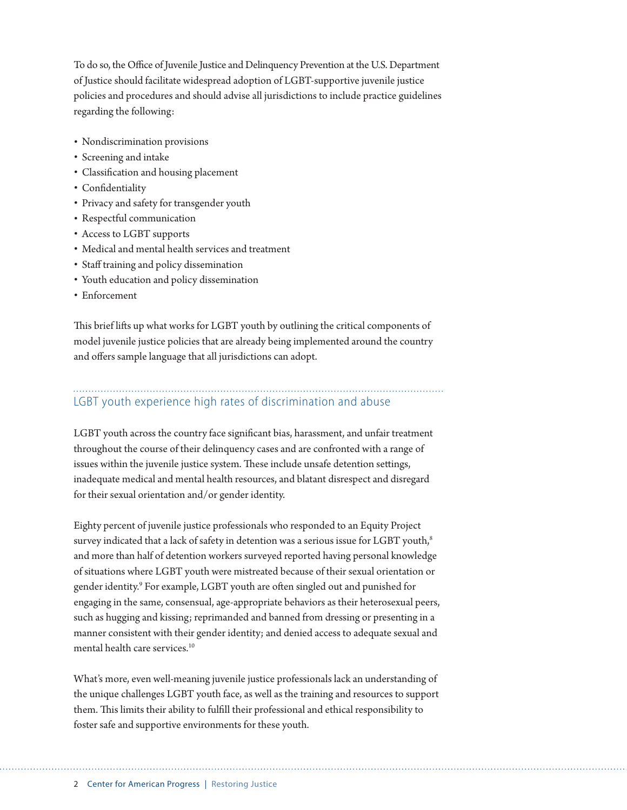To do so, the Office of Juvenile Justice and Delinquency Prevention at the U.S. Department of Justice should facilitate widespread adoption of LGBT-supportive juvenile justice policies and procedures and should advise all jurisdictions to include practice guidelines regarding the following:

- Nondiscrimination provisions
- Screening and intake
- Classification and housing placement
- Confidentiality
- Privacy and safety for transgender youth
- Respectful communication
- Access to LGBT supports
- Medical and mental health services and treatment
- Staff training and policy dissemination
- Youth education and policy dissemination
- Enforcement

This brief lifts up what works for LGBT youth by outlining the critical components of model juvenile justice policies that are already being implemented around the country and offers sample language that all jurisdictions can adopt.

# LGBT youth experience high rates of discrimination and abuse

LGBT youth across the country face significant bias, harassment, and unfair treatment throughout the course of their delinquency cases and are confronted with a range of issues within the juvenile justice system. These include unsafe detention settings, inadequate medical and mental health resources, and blatant disrespect and disregard for their sexual orientation and/or gender identity.

Eighty percent of juvenile justice professionals who responded to an Equity Project survey indicated that a lack of safety in detention was a serious issue for LGBT youth,<sup>8</sup> and more than half of detention workers surveyed reported having personal knowledge of situations where LGBT youth were mistreated because of their sexual orientation or gender identity.9 For example, LGBT youth are often singled out and punished for engaging in the same, consensual, age-appropriate behaviors as their heterosexual peers, such as hugging and kissing; reprimanded and banned from dressing or presenting in a manner consistent with their gender identity; and denied access to adequate sexual and mental health care services.<sup>10</sup>

What's more, even well-meaning juvenile justice professionals lack an understanding of the unique challenges LGBT youth face, as well as the training and resources to support them. This limits their ability to fulfill their professional and ethical responsibility to foster safe and supportive environments for these youth.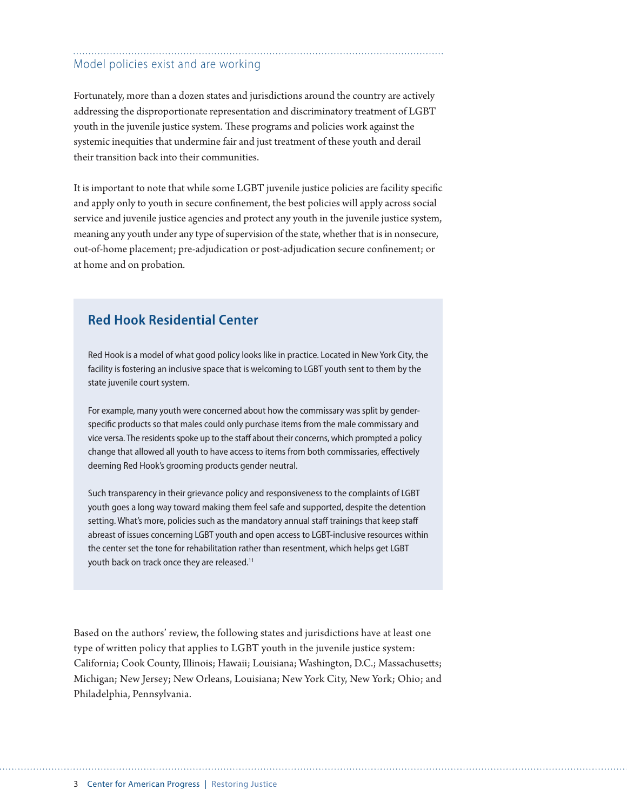## Model policies exist and are working

Fortunately, more than a dozen states and jurisdictions around the country are actively addressing the disproportionate representation and discriminatory treatment of LGBT youth in the juvenile justice system. These programs and policies work against the systemic inequities that undermine fair and just treatment of these youth and derail their transition back into their communities.

It is important to note that while some LGBT juvenile justice policies are facility specific and apply only to youth in secure confinement, the best policies will apply across social service and juvenile justice agencies and protect any youth in the juvenile justice system, meaning any youth under any type of supervision of the state, whether that is in nonsecure, out-of-home placement; pre-adjudication or post-adjudication secure confinement; or at home and on probation.

### **Red Hook Residential Center**

Red Hook is a model of what good policy looks like in practice. Located in New York City, the facility is fostering an inclusive space that is welcoming to LGBT youth sent to them by the state juvenile court system.

For example, many youth were concerned about how the commissary was split by genderspecific products so that males could only purchase items from the male commissary and vice versa. The residents spoke up to the staff about their concerns, which prompted a policy change that allowed all youth to have access to items from both commissaries, effectively deeming Red Hook's grooming products gender neutral.

Such transparency in their grievance policy and responsiveness to the complaints of LGBT youth goes a long way toward making them feel safe and supported, despite the detention setting. What's more, policies such as the mandatory annual staff trainings that keep staff abreast of issues concerning LGBT youth and open access to LGBT-inclusive resources within the center set the tone for rehabilitation rather than resentment, which helps get LGBT youth back on track once they are released.<sup>11</sup>

Based on the authors' review, the following states and jurisdictions have at least one type of written policy that applies to LGBT youth in the juvenile justice system: California; Cook County, Illinois; Hawaii; Louisiana; Washington, D.C.; Massachusetts; Michigan; New Jersey; New Orleans, Louisiana; New York City, New York; Ohio; and Philadelphia, Pennsylvania.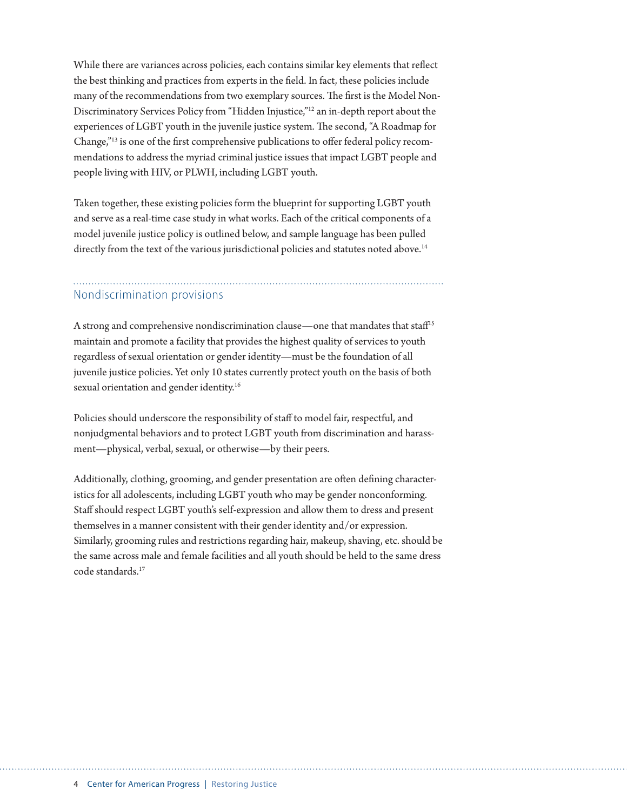While there are variances across policies, each contains similar key elements that reflect the best thinking and practices from experts in the field. In fact, these policies include many of the recommendations from two exemplary sources. The first is the Model Non-Discriminatory Services Policy from "Hidden Injustice,"12 an in-depth report about the experiences of LGBT youth in the juvenile justice system. The second, "A Roadmap for Change,"13 is one of the first comprehensive publications to offer federal policy recommendations to address the myriad criminal justice issues that impact LGBT people and people living with HIV, or PLWH, including LGBT youth.

Taken together, these existing policies form the blueprint for supporting LGBT youth and serve as a real-time case study in what works. Each of the critical components of a model juvenile justice policy is outlined below, and sample language has been pulled directly from the text of the various jurisdictional policies and statutes noted above.<sup>14</sup>

### Nondiscrimination provisions

A strong and comprehensive nondiscrimination clause—one that mandates that staff<sup>15</sup> maintain and promote a facility that provides the highest quality of services to youth regardless of sexual orientation or gender identity—must be the foundation of all juvenile justice policies. Yet only 10 states currently protect youth on the basis of both sexual orientation and gender identity.<sup>16</sup>

Policies should underscore the responsibility of staff to model fair, respectful, and nonjudgmental behaviors and to protect LGBT youth from discrimination and harassment—physical, verbal, sexual, or otherwise—by their peers.

Additionally, clothing, grooming, and gender presentation are often defining characteristics for all adolescents, including LGBT youth who may be gender nonconforming. Staff should respect LGBT youth's self-expression and allow them to dress and present themselves in a manner consistent with their gender identity and/or expression. Similarly, grooming rules and restrictions regarding hair, makeup, shaving, etc. should be the same across male and female facilities and all youth should be held to the same dress code standards.17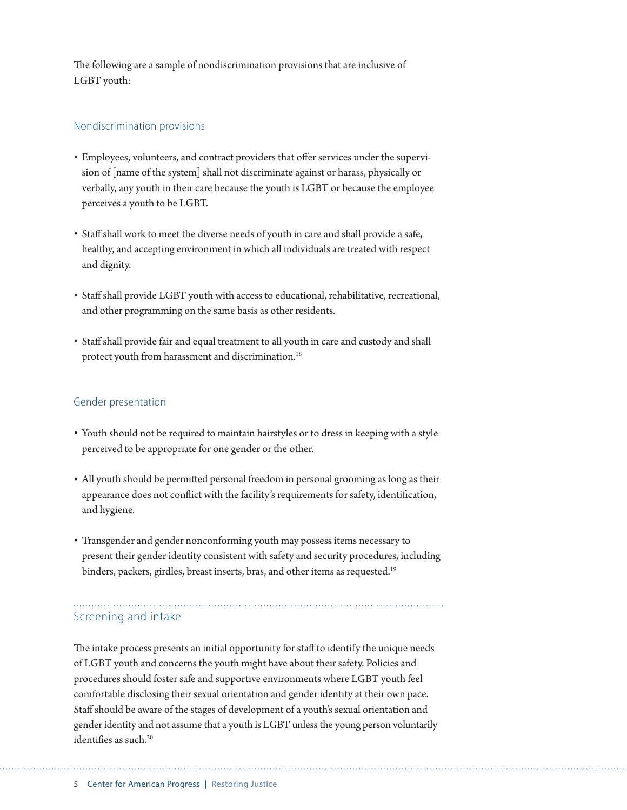The following are a sample of nondiscrimination provisions that are inclusive of LGBT youth:

#### Nondiscrimination provisions

- Employees, volunteers, and contract providers that offer services under the supervision of [name of the system] shall not discriminate against or harass, physically or verbally, any youth in their care because the youth is LGBT or because the employee perceives a youth to be LGBT.
- Staff shall work to meet the diverse needs of youth in care and shall provide a safe, healthy, and accepting environment in which all individuals are treated with respect and dignity.
- Staff shall provide LGBT youth with access to educational, rehabilitative, recreational, and other programming on the same basis as other residents.
- Staff shall provide fair and equal treatment to all youth in care and custody and shall protect youth from harassment and discrimination.<sup>18</sup>

#### Gender presentation

- Youth should not be required to maintain hairstyles or to dress in keeping with a style perceived to be appropriate for one gender or the other.
- All youth should be permitted personal freedom in personal grooming as long as their appearance does not conflict with the facility's requirements for safety, identification, and hygiene.
- Transgender and gender nonconforming youth may possess items necessary to present their gender identity consistent with safety and security procedures, including binders, packers, girdles, breast inserts, bras, and other items as requested.<sup>19</sup>

## Screening and intake

The intake process presents an initial opportunity for staff to identify the unique needs of LGBT youth and concerns the youth might have about their safety. Policies and procedures should foster safe and supportive environments where LGBT youth feel comfortable disclosing their sexual orientation and gender identity at their own pace. Staff should be aware of the stages of development of a youth's sexual orientation and gender identity and not assume that a youth is LGBT unless the young person voluntarily identifies as such.<sup>20</sup>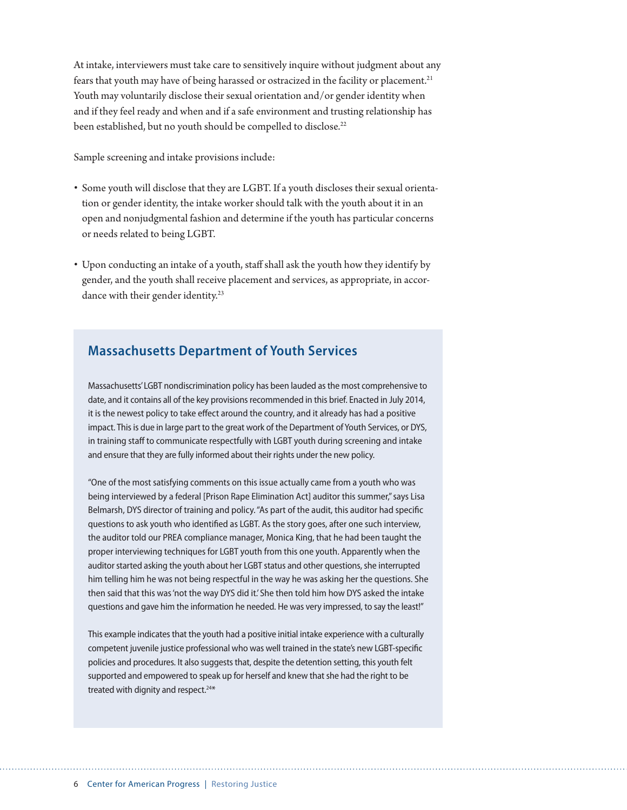At intake, interviewers must take care to sensitively inquire without judgment about any fears that youth may have of being harassed or ostracized in the facility or placement.<sup>21</sup> Youth may voluntarily disclose their sexual orientation and/or gender identity when and if they feel ready and when and if a safe environment and trusting relationship has been established, but no youth should be compelled to disclose.<sup>22</sup>

Sample screening and intake provisions include:

- Some youth will disclose that they are LGBT. If a youth discloses their sexual orientation or gender identity, the intake worker should talk with the youth about it in an open and nonjudgmental fashion and determine if the youth has particular concerns or needs related to being LGBT.
- Upon conducting an intake of a youth, staff shall ask the youth how they identify by gender, and the youth shall receive placement and services, as appropriate, in accordance with their gender identity.<sup>23</sup>

### **Massachusetts Department of Youth Services**

Massachusetts' LGBT nondiscrimination policy has been lauded as the most comprehensive to date, and it contains all of the key provisions recommended in this brief. Enacted in July 2014, it is the newest policy to take effect around the country, and it already has had a positive impact. This is due in large part to the great work of the Department of Youth Services, or DYS, in training staff to communicate respectfully with LGBT youth during screening and intake and ensure that they are fully informed about their rights under the new policy.

"One of the most satisfying comments on this issue actually came from a youth who was being interviewed by a federal [Prison Rape Elimination Act] auditor this summer," says Lisa Belmarsh, DYS director of training and policy. "As part of the audit, this auditor had specific questions to ask youth who identified as LGBT. As the story goes, after one such interview, the auditor told our PREA compliance manager, Monica King, that he had been taught the proper interviewing techniques for LGBT youth from this one youth. Apparently when the auditor started asking the youth about her LGBT status and other questions, she interrupted him telling him he was not being respectful in the way he was asking her the questions. She then said that this was 'not the way DYS did it.' She then told him how DYS asked the intake questions and gave him the information he needed. He was very impressed, to say the least!"

This example indicates that the youth had a positive initial intake experience with a culturally competent juvenile justice professional who was well trained in the state's new LGBT-specific policies and procedures. It also suggests that, despite the detention setting, this youth felt supported and empowered to speak up for herself and knew that she had the right to be treated with dignity and respect.<sup>24\*</sup>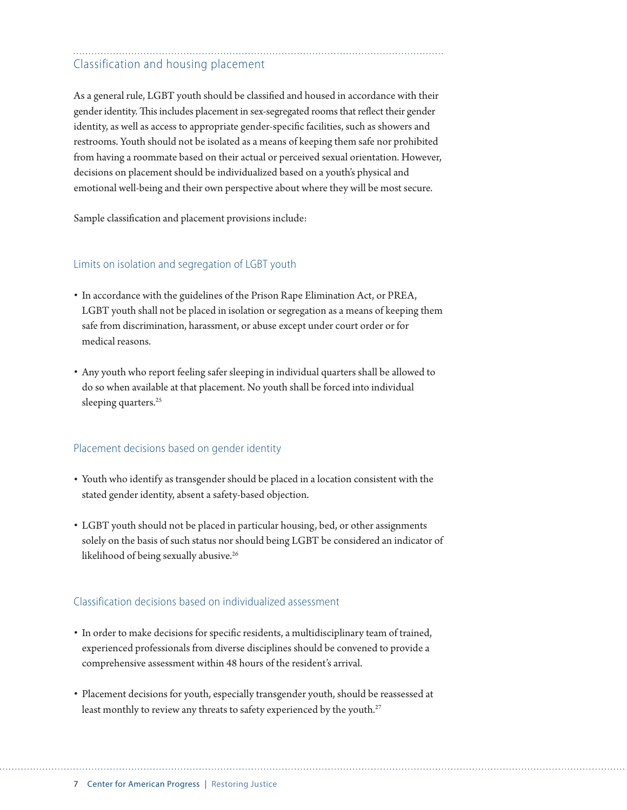# Classification and housing placement

As a general rule, LGBT youth should be classified and housed in accordance with their gender identity. This includes placement in sex-segregated rooms that reflect their gender identity, as well as access to appropriate gender-specific facilities, such as showers and restrooms. Youth should not be isolated as a means of keeping them safe nor prohibited from having a roommate based on their actual or perceived sexual orientation. However, decisions on placement should be individualized based on a youth's physical and emotional well-being and their own perspective about where they will be most secure.

Sample classification and placement provisions include:

#### Limits on isolation and segregation of LGBT youth

- In accordance with the guidelines of the Prison Rape Elimination Act, or PREA, LGBT youth shall not be placed in isolation or segregation as a means of keeping them safe from discrimination, harassment, or abuse except under court order or for medical reasons.
- Any youth who report feeling safer sleeping in individual quarters shall be allowed to do so when available at that placement. No youth shall be forced into individual sleeping quarters.<sup>25</sup>

#### Placement decisions based on gender identity

- Youth who identify as transgender should be placed in a location consistent with the stated gender identity, absent a safety-based objection.
- LGBT youth should not be placed in particular housing, bed, or other assignments solely on the basis of such status nor should being LGBT be considered an indicator of likelihood of being sexually abusive.<sup>26</sup>

#### Classification decisions based on individualized assessment

- In order to make decisions for specific residents, a multidisciplinary team of trained, experienced professionals from diverse disciplines should be convened to provide a comprehensive assessment within 48 hours of the resident's arrival.
- Placement decisions for youth, especially transgender youth, should be reassessed at least monthly to review any threats to safety experienced by the youth.<sup>27</sup>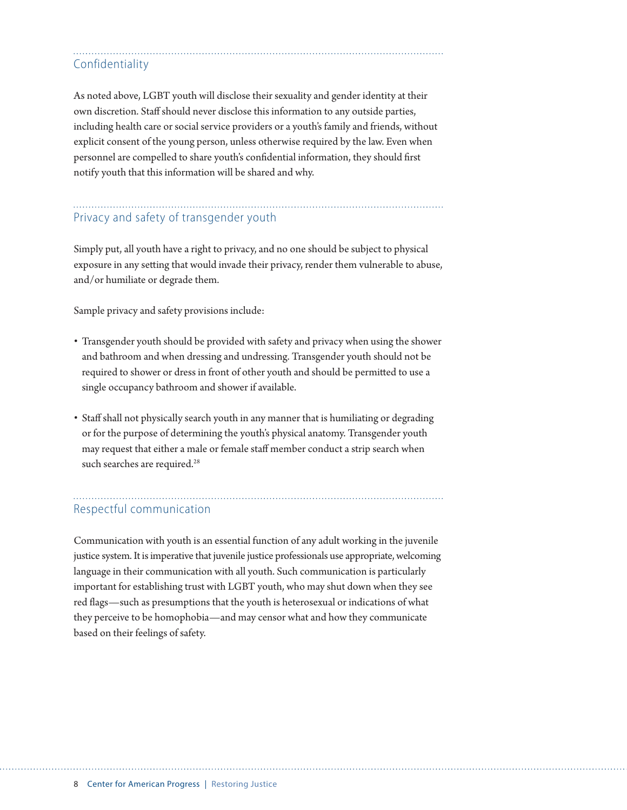## Confidentiality

As noted above, LGBT youth will disclose their sexuality and gender identity at their own discretion. Staff should never disclose this information to any outside parties, including health care or social service providers or a youth's family and friends, without explicit consent of the young person, unless otherwise required by the law. Even when personnel are compelled to share youth's confidential information, they should first notify youth that this information will be shared and why.

### Privacy and safety of transgender youth

Simply put, all youth have a right to privacy, and no one should be subject to physical exposure in any setting that would invade their privacy, render them vulnerable to abuse, and/or humiliate or degrade them.

Sample privacy and safety provisions include:

- Transgender youth should be provided with safety and privacy when using the shower and bathroom and when dressing and undressing. Transgender youth should not be required to shower or dress in front of other youth and should be permitted to use a single occupancy bathroom and shower if available.
- Staff shall not physically search youth in any manner that is humiliating or degrading or for the purpose of determining the youth's physical anatomy. Transgender youth may request that either a male or female staff member conduct a strip search when such searches are required.<sup>28</sup>

### Respectful communication

Communication with youth is an essential function of any adult working in the juvenile justice system. It is imperative that juvenile justice professionals use appropriate, welcoming language in their communication with all youth. Such communication is particularly important for establishing trust with LGBT youth, who may shut down when they see red flags—such as presumptions that the youth is heterosexual or indications of what they perceive to be homophobia—and may censor what and how they communicate based on their feelings of safety.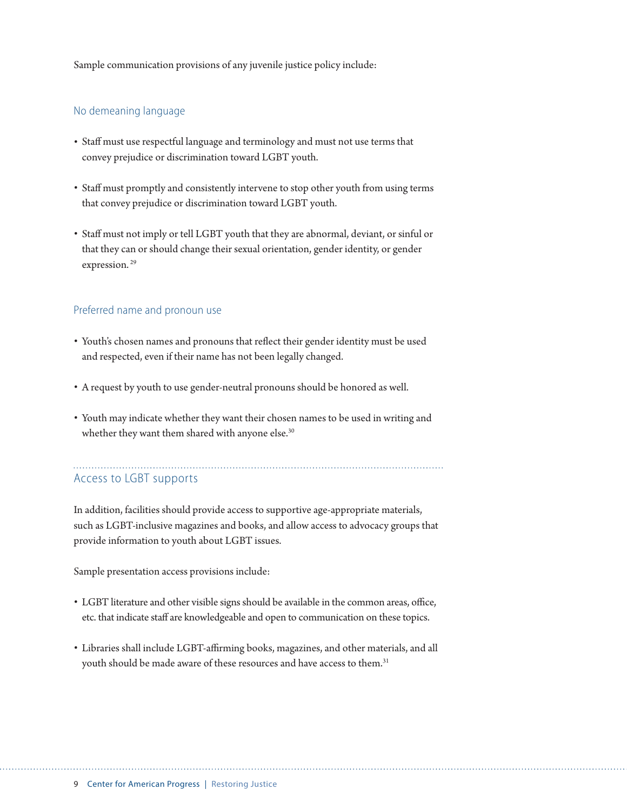Sample communication provisions of any juvenile justice policy include:

#### No demeaning language

- Staff must use respectful language and terminology and must not use terms that convey prejudice or discrimination toward LGBT youth.
- Staff must promptly and consistently intervene to stop other youth from using terms that convey prejudice or discrimination toward LGBT youth.
- Staff must not imply or tell LGBT youth that they are abnormal, deviant, or sinful or that they can or should change their sexual orientation, gender identity, or gender expression.<sup>29</sup>

#### Preferred name and pronoun use

- Youth's chosen names and pronouns that reflect their gender identity must be used and respected, even if their name has not been legally changed.
- A request by youth to use gender-neutral pronouns should be honored as well.
- Youth may indicate whether they want their chosen names to be used in writing and whether they want them shared with anyone else.<sup>30</sup>

# Access to LGBT supports

In addition, facilities should provide access to supportive age-appropriate materials, such as LGBT-inclusive magazines and books, and allow access to advocacy groups that provide information to youth about LGBT issues.

Sample presentation access provisions include:

- LGBT literature and other visible signs should be available in the common areas, office, etc. that indicate staff are knowledgeable and open to communication on these topics.
- Libraries shall include LGBT-affirming books, magazines, and other materials, and all youth should be made aware of these resources and have access to them.<sup>31</sup>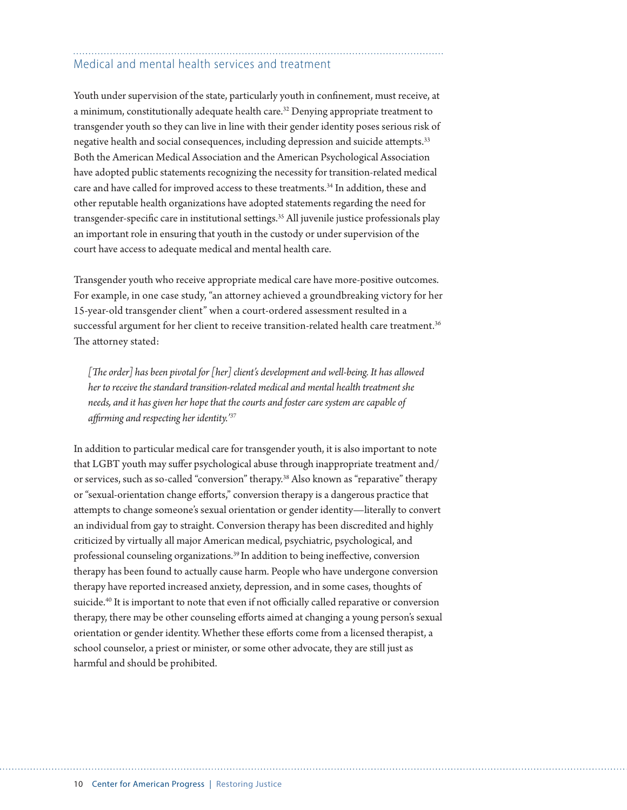# Medical and mental health services and treatment

Youth under supervision of the state, particularly youth in confinement, must receive, at a minimum, constitutionally adequate health care.<sup>32</sup> Denying appropriate treatment to transgender youth so they can live in line with their gender identity poses serious risk of negative health and social consequences, including depression and suicide attempts.33 Both the American Medical Association and the American Psychological Association have adopted public statements recognizing the necessity for transition-related medical care and have called for improved access to these treatments.<sup>34</sup> In addition, these and other reputable health organizations have adopted statements regarding the need for transgender-specific care in institutional settings.<sup>35</sup> All juvenile justice professionals play an important role in ensuring that youth in the custody or under supervision of the court have access to adequate medical and mental health care.

Transgender youth who receive appropriate medical care have more-positive outcomes. For example, in one case study, "an attorney achieved a groundbreaking victory for her 15-year-old transgender client" when a court-ordered assessment resulted in a successful argument for her client to receive transition-related health care treatment.<sup>36</sup> The attorney stated:

*[The order] has been pivotal for [her] client's development and well-being. It has allowed her to receive the standard transition-related medical and mental health treatment she needs, and it has given her hope that the courts and foster care system are capable of affirming and respecting her identity.'37*

In addition to particular medical care for transgender youth, it is also important to note that LGBT youth may suffer psychological abuse through inappropriate treatment and/ or services, such as so-called "conversion" therapy.38 Also known as "reparative" therapy or "sexual-orientation change efforts," conversion therapy is a dangerous practice that attempts to change someone's sexual orientation or gender identity—literally to convert an individual from gay to straight. Conversion therapy has been discredited and highly criticized by virtually all major American medical, psychiatric, psychological, and professional counseling organizations.39 In addition to being ineffective, conversion therapy has been found to actually cause harm. People who have undergone conversion therapy have reported increased anxiety, depression, and in some cases, thoughts of suicide.<sup>40</sup> It is important to note that even if not officially called reparative or conversion therapy, there may be other counseling efforts aimed at changing a young person's sexual orientation or gender identity. Whether these efforts come from a licensed therapist, a school counselor, a priest or minister, or some other advocate, they are still just as harmful and should be prohibited.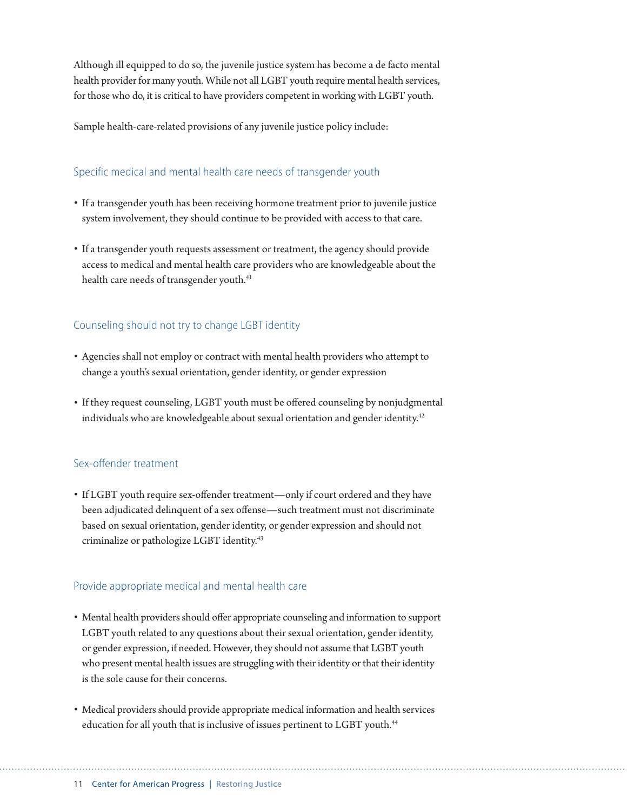Although ill equipped to do so, the juvenile justice system has become a de facto mental health provider for many youth. While not all LGBT youth require mental health services, for those who do, it is critical to have providers competent in working with LGBT youth.

Sample health-care-related provisions of any juvenile justice policy include:

#### Specific medical and mental health care needs of transgender youth

- If a transgender youth has been receiving hormone treatment prior to juvenile justice system involvement, they should continue to be provided with access to that care.
- If a transgender youth requests assessment or treatment, the agency should provide access to medical and mental health care providers who are knowledgeable about the health care needs of transgender youth.<sup>41</sup>

#### Counseling should not try to change LGBT identity

- Agencies shall not employ or contract with mental health providers who attempt to change a youth's sexual orientation, gender identity, or gender expression
- If they request counseling, LGBT youth must be offered counseling by nonjudgmental individuals who are knowledgeable about sexual orientation and gender identity.<sup>42</sup>

#### Sex-offender treatment

• If LGBT youth require sex-offender treatment—only if court ordered and they have been adjudicated delinquent of a sex offense—such treatment must not discriminate based on sexual orientation, gender identity, or gender expression and should not criminalize or pathologize LGBT identity.43

#### Provide appropriate medical and mental health care

- Mental health providers should offer appropriate counseling and information to support LGBT youth related to any questions about their sexual orientation, gender identity, or gender expression, if needed. However, they should not assume that LGBT youth who present mental health issues are struggling with their identity or that their identity is the sole cause for their concerns.
- Medical providers should provide appropriate medical information and health services education for all youth that is inclusive of issues pertinent to LGBT youth.<sup>44</sup>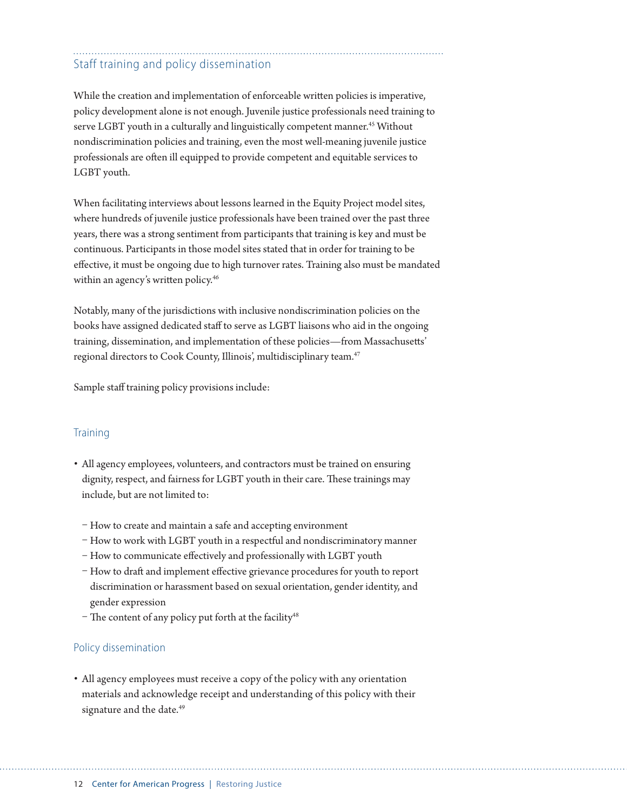# Staff training and policy dissemination

While the creation and implementation of enforceable written policies is imperative, policy development alone is not enough. Juvenile justice professionals need training to serve LGBT youth in a culturally and linguistically competent manner.<sup>45</sup> Without nondiscrimination policies and training, even the most well-meaning juvenile justice professionals are often ill equipped to provide competent and equitable services to LGBT youth.

When facilitating interviews about lessons learned in the Equity Project model sites, where hundreds of juvenile justice professionals have been trained over the past three years, there was a strong sentiment from participants that training is key and must be continuous. Participants in those model sites stated that in order for training to be effective, it must be ongoing due to high turnover rates. Training also must be mandated within an agency's written policy.<sup>46</sup>

Notably, many of the jurisdictions with inclusive nondiscrimination policies on the books have assigned dedicated staff to serve as LGBT liaisons who aid in the ongoing training, dissemination, and implementation of these policies—from Massachusetts' regional directors to Cook County, Illinois', multidisciplinary team.47

Sample staff training policy provisions include:

#### **Training**

- All agency employees, volunteers, and contractors must be trained on ensuring dignity, respect, and fairness for LGBT youth in their care. These trainings may include, but are not limited to:
	- How to create and maintain a safe and accepting environment
	- How to work with LGBT youth in a respectful and nondiscriminatory manner
	- How to communicate effectively and professionally with LGBT youth
	- How to draft and implement effective grievance procedures for youth to report discrimination or harassment based on sexual orientation, gender identity, and gender expression
	- The content of any policy put forth at the facility<sup>48</sup>

#### Policy dissemination

• All agency employees must receive a copy of the policy with any orientation materials and acknowledge receipt and understanding of this policy with their signature and the date.<sup>49</sup>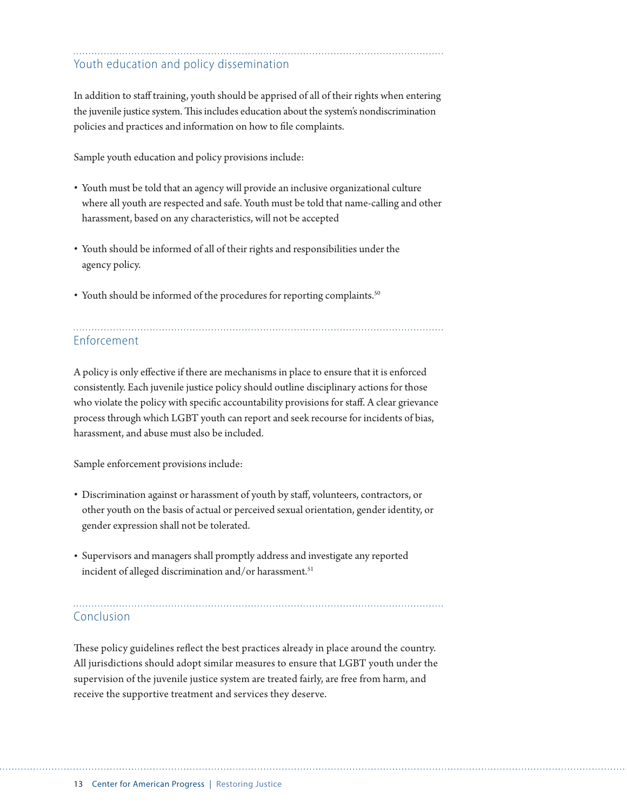# Youth education and policy dissemination

In addition to staff training, youth should be apprised of all of their rights when entering the juvenile justice system. This includes education about the system's nondiscrimination policies and practices and information on how to file complaints.

Sample youth education and policy provisions include:

- Youth must be told that an agency will provide an inclusive organizational culture where all youth are respected and safe. Youth must be told that name-calling and other harassment, based on any characteristics, will not be accepted
- Youth should be informed of all of their rights and responsibilities under the agency policy.
- Youth should be informed of the procedures for reporting complaints.<sup>50</sup>

# Enforcement

A policy is only effective if there are mechanisms in place to ensure that it is enforced consistently. Each juvenile justice policy should outline disciplinary actions for those who violate the policy with specific accountability provisions for staff. A clear grievance process through which LGBT youth can report and seek recourse for incidents of bias, harassment, and abuse must also be included.

Sample enforcement provisions include:

- Discrimination against or harassment of youth by staff, volunteers, contractors, or other youth on the basis of actual or perceived sexual orientation, gender identity, or gender expression shall not be tolerated.
- Supervisors and managers shall promptly address and investigate any reported incident of alleged discrimination and/or harassment.<sup>51</sup>

Conclusion

These policy guidelines reflect the best practices already in place around the country. All jurisdictions should adopt similar measures to ensure that LGBT youth under the supervision of the juvenile justice system are treated fairly, are free from harm, and receive the supportive treatment and services they deserve.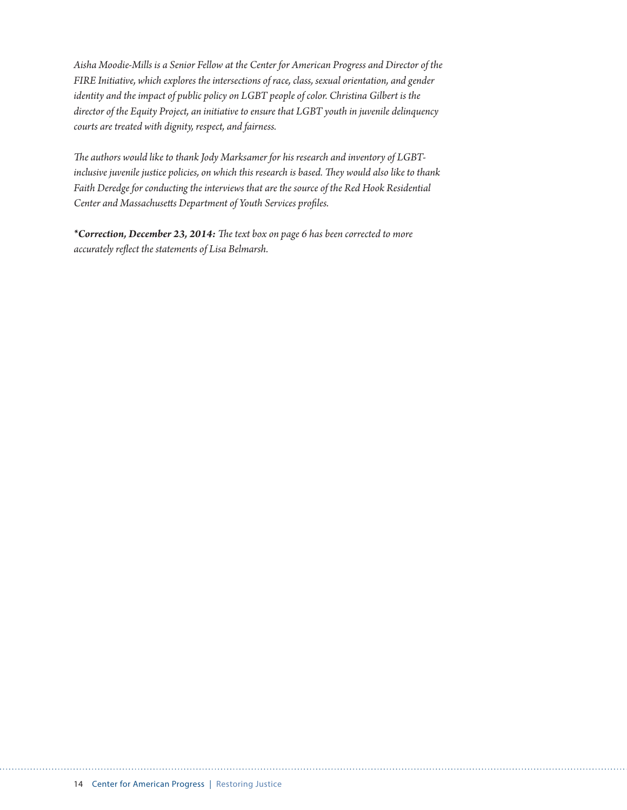*Aisha Moodie-Mills is a Senior Fellow at the Center for American Progress and Director of the FIRE Initiative, which explores the intersections of race, class, sexual orientation, and gender identity and the impact of public policy on LGBT people of color. Christina Gilbert is the director of the Equity Project, an initiative to ensure that LGBT youth in juvenile delinquency courts are treated with dignity, respect, and fairness.* 

*The authors would like to thank Jody Marksamer for his research and inventory of LGBTinclusive juvenile justice policies, on which this research is based. They would also like to thank Faith Deredge for conducting the interviews that are the source of the Red Hook Residential Center and Massachusetts Department of Youth Services profiles.*

*\*Correction, December 23, 2014: The text box on page 6 has been corrected to more accurately reflect the statements of Lisa Belmarsh.*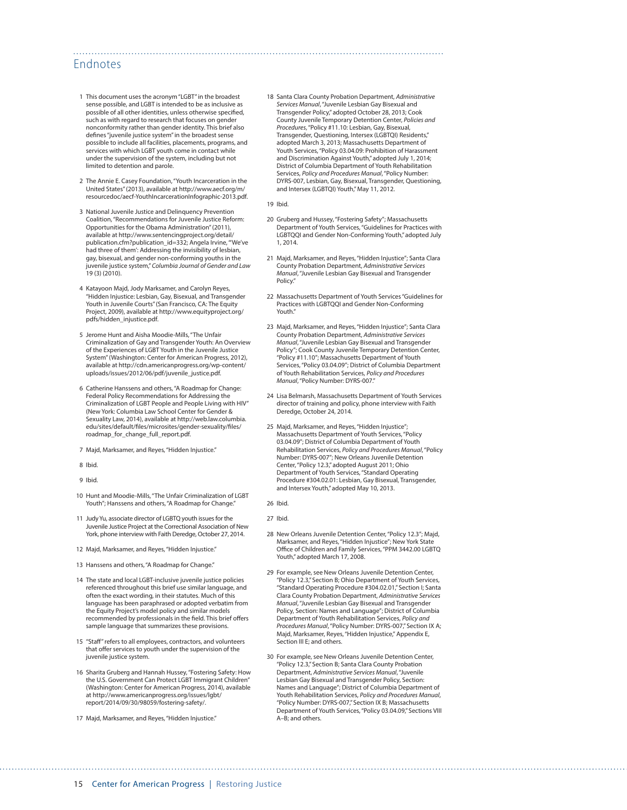#### Endnotes

- 1 This document uses the acronym "LGBT" in the broadest sense possible, and LGBT is intended to be as inclusive as possible of all other identities, unless otherwise specified, such as with regard to research that focuses on gender nonconformity rather than gender identity. This brief also defines "juvenile justice system" in the broadest sense possible to include all facilities, placements, programs, and services with which LGBT youth come in contact while under the supervision of the system, including but not limited to detention and parole.
- 2 The Annie E. Casey Foundation, "Youth Incarceration in the United States" (2013), available at [http://www.aecf.org/m/](http://www.aecf.org/m/resourcedoc/aecf-YouthIncarcerationInfographic-2013.pdf) [resourcedoc/aecf-YouthIncarcerationInfographic-2013.pdf.](http://www.aecf.org/m/resourcedoc/aecf-YouthIncarcerationInfographic-2013.pdf)
- 3 National Juvenile Justice and Delinquency Prevention Coalition, "Recommendations for Juvenile Justice Reform: Opportunities for the Obama Administration" (2011), available at [http://www.sentencingproject.org/detail/](http://www.sentencingproject.org/detail/publication.cfm?publication_id=332) [publication.cfm?publication\\_id=332](http://www.sentencingproject.org/detail/publication.cfm?publication_id=332); Angela Irvine, "'We've had three of them': Addressing the invisibility of lesbian, gay, bisexual, and gender non-conforming youths in the juvenile justice system," *Columbia Journal of Gender and Law* 19 (3) (2010).
- 4 Katayoon Majd, Jody Marksamer, and Carolyn Reyes, "Hidden Injustice: Lesbian, Gay, Bisexual, and Transgender Youth in Juvenile Courts" (San Francisco, CA: The Equity Project, 2009), available at [http://www.equityproject.org/](http://www.equityproject.org/pdfs/hidden_injustice.pdf) [pdfs/hidden\\_injustice.pdf.](http://www.equityproject.org/pdfs/hidden_injustice.pdf)
- 5 Jerome Hunt and Aisha Moodie-Mills, "The Unfair Criminalization of Gay and Transgender Youth: An Overview of the Experiences of LGBT Youth in the Juvenile Justice System" (Washington: Center for American Progress, 2012), available at [http://cdn.americanprogress.org/wp-content/](http://cdn.americanprogress.org/wp-content/uploads/issues/2012/06/pdf/juvenile_justice.pdf) [uploads/issues/2012/06/pdf/juvenile\\_justice.pdf.](http://cdn.americanprogress.org/wp-content/uploads/issues/2012/06/pdf/juvenile_justice.pdf)
- 6 Catherine Hanssens and others, "A Roadmap for Change: Federal Policy Recommendations for Addressing the Criminalization of LGBT People and People Living with HIV" (New York: Columbia Law School Center for Gender & Sexuality Law, 2014), available at [http://web.law.columbia.](http://web.law.columbia.edu/sites/default/files/microsites/gender-sexuality/files/roadmap_for_change_full_report.pdf) [edu/sites/default/files/microsites/gender-sexuality/files/](http://web.law.columbia.edu/sites/default/files/microsites/gender-sexuality/files/roadmap_for_change_full_report.pdf) [roadmap\\_for\\_change\\_full\\_report.pdf](http://web.law.columbia.edu/sites/default/files/microsites/gender-sexuality/files/roadmap_for_change_full_report.pdf).
- 7 Majd, Marksamer, and Reyes, "Hidden Injustice."
- 8 Ibid.
- 9 Ibid.
- 10 Hunt and Moodie-Mills, "The Unfair Criminalization of LGBT Youth"; Hanssens and others, "A Roadmap for Change."
- 11 Judy Yu, associate director of LGBTQ youth issues for the Juvenile Justice Project at the Correctional Association of New York, phone interview with Faith Deredge, October 27, 2014.
- 12 Maid, Marksamer, and Reyes, "Hidden Injustice."
- 13 Hanssens and others, "A Roadmap for Change."
- 14 The state and local LGBT-inclusive juvenile justice policies referenced throughout this brief use similar language, and often the exact wording, in their statutes. Much of this language has been paraphrased or adopted verbatim from the Equity Project's model policy and similar models recommended by professionals in the field. This brief offers sample language that summarizes these provisions.
- 15 "Staff" refers to all employees, contractors, and volunteers that offer services to youth under the supervision of the juvenile justice system.
- 16 Sharita Gruberg and Hannah Hussey, "Fostering Safety: How the U.S. Government Can Protect LGBT Immigrant Children" (Washington: Center for American Progress, 2014), available at [http://www.americanprogress.org/issues/lgbt/](http://www.americanprogress.org/issues/lgbt/report/2014/09/30/98059/fostering-safety/) [report/2014/09/30/98059/fostering-safety/](http://www.americanprogress.org/issues/lgbt/report/2014/09/30/98059/fostering-safety/).
- 17 Majd, Marksamer, and Reyes, "Hidden Injustice."

18 Santa Clara County Probation Department, *Administrative Services Manual*, "Juvenile Lesbian Gay Bisexual and Transgender Policy," adopted October 28, 2013; Cook County Juvenile Temporary Detention Center, *Policies and Procedures*, "Policy #11.10: Lesbian, Gay, Bisexual, Transgender, Questioning, Intersex (LGBTQI) Residents," adopted March 3, 2013; Massachusetts Department of Youth Services, "Policy 03.04.09: Prohibition of Harassment and Discrimination Against Youth," adopted July 1, 2014; District of Columbia Department of Youth Rehabilitation Services, *Policy and Procedures Manual*, "Policy Number: DYRS-007, Lesbian, Gay, Bisexual, Transgender, Questioning, and Intersex (LGBTQI) Youth," May 11, 2012.

19 Ibid.

- 20 Gruberg and Hussey, "Fostering Safety"; Massachusetts Department of Youth Services, "Guidelines for Practices with LGBTQQI and Gender Non-Conforming Youth," adopted July 1, 2014.
- 21 Majd, Marksamer, and Reyes, "Hidden Injustice"; Santa Clara County Probation Department, *Administrative Services Manual*, "Juvenile Lesbian Gay Bisexual and Transgender Policy."
- 22 Massachusetts Department of Youth Services "Guidelines for Practices with LGBTQQI and Gender Non-Conforming Youth."
- 23 Majd, Marksamer, and Reyes, "Hidden Injustice"; Santa Clara County Probation Department, *Administrative Services Manual*, "Juvenile Lesbian Gay Bisexual and Transgender Policy"; Cook County Juvenile Temporary Detention Center, "Policy #11.10"; Massachusetts Department of Youth Services, "Policy 03.04.09"; District of Columbia Department of Youth Rehabilitation Services, *Policy and Procedures Manual*, "Policy Number: DYRS-007."
- 24 Lisa Belmarsh, Massachusetts Department of Youth Services director of training and policy, phone interview with Faith Deredge, October 24, 2014.
- 25 Majd, Marksamer, and Reyes, "Hidden Injustice"; Massachusetts Department of Youth Services, "Policy 03.04.09"; District of Columbia Department of Youth Rehabilitation Services, *Policy and Procedures Manual*, "Policy Number: DYRS-007"; New Orleans Juvenile Detention Center, "Policy 12.3," adopted August 2011; Ohio Department of Youth Services, "Standard Operating Procedure #304.02.01: Lesbian, Gay Bisexual, Transgender, and Intersex Youth," adopted May 10, 2013.
- 26 Ibid.
- 27 Ibid.
- 28 New Orleans Juvenile Detention Center, "Policy 12.3"; Majd, Marksamer, and Reyes, "Hidden Injustice"; New York State Office of Children and Family Services, "PPM 3442.00 LGBTQ Youth," adopted March 17, 2008.
- 29 For example, see New Orleans Juvenile Detention Center, "Policy 12.3," Section B; Ohio Department of Youth Services, "Standard Operating Procedure #304.02.01," Section I; Santa Clara County Probation Department, *Administrative Services Manual*, "Juvenile Lesbian Gay Bisexual and Transgender Policy, Section: Names and Language"; District of Columbia Department of Youth Rehabilitation Services, *Policy and Procedures Manual*, "Policy Number: DYRS-007," Section IX A; Majd, Marksamer, Reyes, "Hidden Injustice," Appendix E, Section III E; and others.
- 30 For example, see New Orleans Juvenile Detention Center, "Policy 12.3," Section B; Santa Clara County Probation Department, *Administrative Services Manual*, "Juvenile Lesbian Gay Bisexual and Transgender Policy, Section: Names and Language"; District of Columbia Department of Youth Rehabilitation Services, *Policy and Procedures Manual*, "Policy Number: DYRS-007," Section IX B; Massachusetts Department of Youth Services, "Policy 03.04.09," Sections VIII A–B; and others.